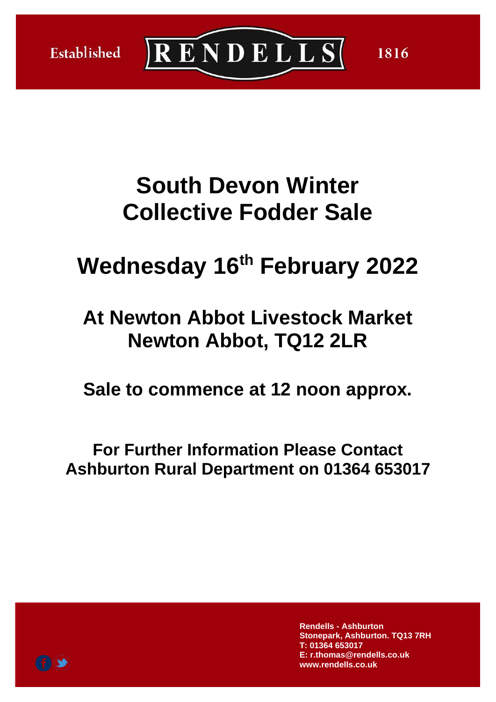



1816

# **South Devon Winter Collective Fodder Sale**

# **Wednesday 16 th February 2022**

# **At Newton Abbot Livestock Market Newton Abbot, TQ12 2LR**

**Sale to commence at 12 noon approx.**

**For Further Information Please Contact Ashburton Rural Department on 01364 653017**

> **Rendells - Ashburton Stonepark, Ashburton. TQ13 7RH T: 01364 653017 E: r.thomas@rendells.co.uk www.rendells.co.uk**

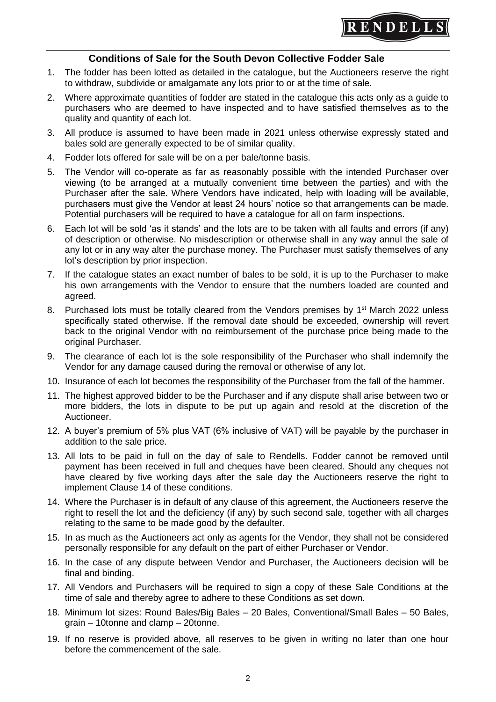

#### **Conditions of Sale for the South Devon Collective Fodder Sale**

- 1. The fodder has been lotted as detailed in the catalogue, but the Auctioneers reserve the right to withdraw, subdivide or amalgamate any lots prior to or at the time of sale.
- 2. Where approximate quantities of fodder are stated in the catalogue this acts only as a guide to purchasers who are deemed to have inspected and to have satisfied themselves as to the quality and quantity of each lot.
- 3. All produce is assumed to have been made in 2021 unless otherwise expressly stated and bales sold are generally expected to be of similar quality.
- 4. Fodder lots offered for sale will be on a per bale/tonne basis.
- 5. The Vendor will co-operate as far as reasonably possible with the intended Purchaser over viewing (to be arranged at a mutually convenient time between the parties) and with the Purchaser after the sale. Where Vendors have indicated, help with loading will be available, purchasers must give the Vendor at least 24 hours' notice so that arrangements can be made. Potential purchasers will be required to have a catalogue for all on farm inspections.
- 6. Each lot will be sold 'as it stands' and the lots are to be taken with all faults and errors (if any) of description or otherwise. No misdescription or otherwise shall in any way annul the sale of any lot or in any way alter the purchase money. The Purchaser must satisfy themselves of any lot's description by prior inspection.
- 7. If the catalogue states an exact number of bales to be sold, it is up to the Purchaser to make his own arrangements with the Vendor to ensure that the numbers loaded are counted and agreed.
- 8. Purchased lots must be totally cleared from the Vendors premises by 1<sup>st</sup> March 2022 unless specifically stated otherwise. If the removal date should be exceeded, ownership will revert back to the original Vendor with no reimbursement of the purchase price being made to the original Purchaser.
- 9. The clearance of each lot is the sole responsibility of the Purchaser who shall indemnify the Vendor for any damage caused during the removal or otherwise of any lot.
- 10. Insurance of each lot becomes the responsibility of the Purchaser from the fall of the hammer.
- 11. The highest approved bidder to be the Purchaser and if any dispute shall arise between two or more bidders, the lots in dispute to be put up again and resold at the discretion of the Auctioneer.
- 12. A buyer's premium of 5% plus VAT (6% inclusive of VAT) will be payable by the purchaser in addition to the sale price.
- 13. All lots to be paid in full on the day of sale to Rendells. Fodder cannot be removed until payment has been received in full and cheques have been cleared. Should any cheques not have cleared by five working days after the sale day the Auctioneers reserve the right to implement Clause 14 of these conditions.
- 14. Where the Purchaser is in default of any clause of this agreement, the Auctioneers reserve the right to resell the lot and the deficiency (if any) by such second sale, together with all charges relating to the same to be made good by the defaulter.
- 15. In as much as the Auctioneers act only as agents for the Vendor, they shall not be considered personally responsible for any default on the part of either Purchaser or Vendor.
- 16. In the case of any dispute between Vendor and Purchaser, the Auctioneers decision will be final and binding.
- 17. All Vendors and Purchasers will be required to sign a copy of these Sale Conditions at the time of sale and thereby agree to adhere to these Conditions as set down.
- 18. Minimum lot sizes: Round Bales/Big Bales 20 Bales, Conventional/Small Bales 50 Bales, grain – 10tonne and clamp – 20tonne.
- 19. If no reserve is provided above, all reserves to be given in writing no later than one hour before the commencement of the sale.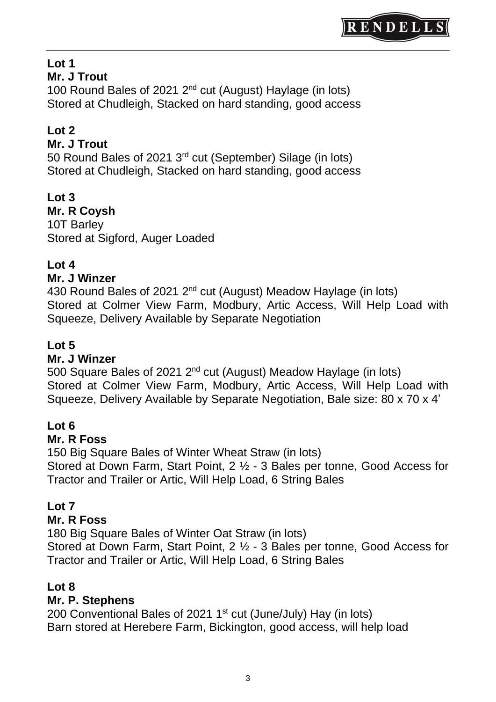

# **Lot 1**

#### **Mr. J Trout**

100 Round Bales of 2021 2<sup>nd</sup> cut (August) Haylage (in lots) Stored at Chudleigh, Stacked on hard standing, good access

# **Lot 2**

#### **Mr. J Trout**

50 Round Bales of 2021 3<sup>rd</sup> cut (September) Silage (in lots) Stored at Chudleigh, Stacked on hard standing, good access

# **Lot 3**

**Mr. R Coysh** 10T Barley Stored at Sigford, Auger Loaded

# **Lot 4**

#### **Mr. J Winzer**

430 Round Bales of 2021 2<sup>nd</sup> cut (August) Meadow Haylage (in lots) Stored at Colmer View Farm, Modbury, Artic Access, Will Help Load with Squeeze, Delivery Available by Separate Negotiation

#### **Lot 5**

#### **Mr. J Winzer**

500 Square Bales of 2021 2<sup>nd</sup> cut (August) Meadow Haylage (in lots) Stored at Colmer View Farm, Modbury, Artic Access, Will Help Load with Squeeze, Delivery Available by Separate Negotiation, Bale size: 80 x 70 x 4'

#### **Lot 6**

#### **Mr. R Foss**

150 Big Square Bales of Winter Wheat Straw (in lots) Stored at Down Farm, Start Point, 2 ½ - 3 Bales per tonne, Good Access for Tractor and Trailer or Artic, Will Help Load, 6 String Bales

#### **Lot 7**

#### **Mr. R Foss**

180 Big Square Bales of Winter Oat Straw (in lots)

Stored at Down Farm, Start Point, 2 ½ - 3 Bales per tonne, Good Access for Tractor and Trailer or Artic, Will Help Load, 6 String Bales

#### **Lot 8**

#### **Mr. P. Stephens**

200 Conventional Bales of 2021  $1<sup>st</sup>$  cut (June/July) Hay (in lots) Barn stored at Herebere Farm, Bickington, good access, will help load